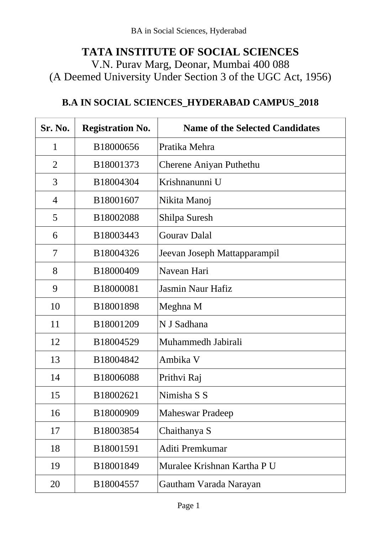## **TATA INSTITUTE OF SOCIAL SCIENCES** V.N. Purav Marg, Deonar, Mumbai 400 088 (A Deemed University Under Section 3 of the UGC Act, 1956)

## **B.A IN SOCIAL SCIENCES\_HYDERABAD CAMPUS\_2018**

| Sr. No.      | <b>Registration No.</b> | <b>Name of the Selected Candidates</b> |
|--------------|-------------------------|----------------------------------------|
| $\mathbf{1}$ | B18000656               | Pratika Mehra                          |
| 2            | B18001373               | Cherene Aniyan Puthethu                |
| 3            | B18004304               | Krishnanunni U                         |
| 4            | B18001607               | Nikita Manoj                           |
| 5            | B18002088               | Shilpa Suresh                          |
| 6            | B18003443               | <b>Gourav Dalal</b>                    |
| 7            | B18004326               | Jeevan Joseph Mattapparampil           |
| 8            | B18000409               | Navean Hari                            |
| 9            | B18000081               | Jasmin Naur Hafiz                      |
| 10           | B18001898               | Meghna M                               |
| 11           | B18001209               | N J Sadhana                            |
| 12           | B18004529               | Muhammedh Jabirali                     |
| 13           | B18004842               | Ambika V                               |
| 14           | B18006088               | Prithvi Raj                            |
| 15           | B18002621               | Nimisha S S                            |
| 16           | B18000909               | <b>Maheswar Pradeep</b>                |
| 17           | B18003854               | Chaithanya S                           |
| 18           | B18001591               | Aditi Premkumar                        |
| 19           | B18001849               | Muralee Krishnan Kartha P U            |
| 20           | B18004557               | Gautham Varada Narayan                 |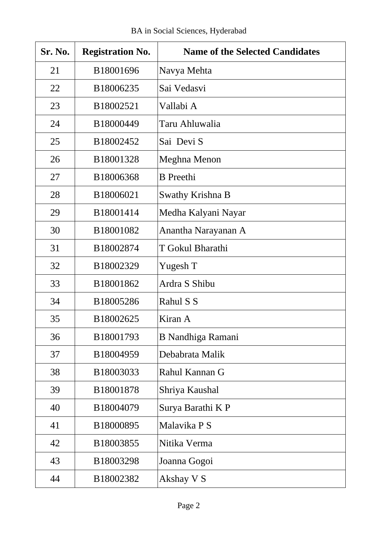| Sr. No. | <b>Registration No.</b> | <b>Name of the Selected Candidates</b> |
|---------|-------------------------|----------------------------------------|
| 21      | B18001696               | Navya Mehta                            |
| 22      | B18006235               | Sai Vedasvi                            |
| 23      | B18002521               | Vallabi A                              |
| 24      | B18000449               | Taru Ahluwalia                         |
| 25      | B18002452               | Sai Devi S                             |
| 26      | B18001328               | Meghna Menon                           |
| 27      | B18006368               | <b>B</b> Preethi                       |
| 28      | B18006021               | Swathy Krishna B                       |
| 29      | B18001414               | Medha Kalyani Nayar                    |
| 30      | B18001082               | Anantha Narayanan A                    |
| 31      | B18002874               | T Gokul Bharathi                       |
| 32      | B18002329               | Yugesh T                               |
| 33      | B18001862               | Ardra S Shibu                          |
| 34      | B18005286               | Rahul S S                              |
| 35      | B18002625               | Kiran A                                |
| 36      | B18001793               | <b>B</b> Nandhiga Ramani               |
| 37      | B18004959               | Debabrata Malik                        |
| 38      | B18003033               | Rahul Kannan G                         |
| 39      | B18001878               | Shriya Kaushal                         |
| 40      | B18004079               | Surya Barathi K P                      |
| 41      | B18000895               | Malavika P S                           |
| 42      | B18003855               | Nitika Verma                           |
| 43      | B18003298               | Joanna Gogoi                           |
| 44      | B18002382               | Akshay V S                             |

 $\mathbf{I}$